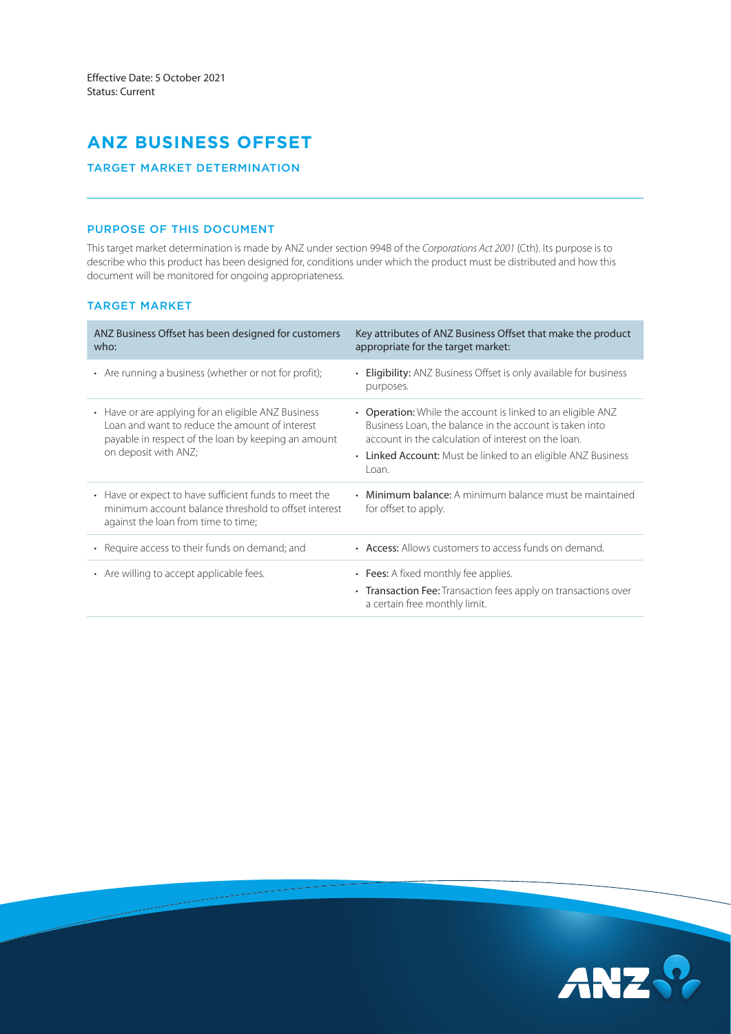# **ANZ BUSINESS OFFSET**

# TARGET MARKET DETERMINATION

# PURPOSE OF THIS DOCUMENT

This target market determination is made by ANZ under section 994B of the *Corporations Act 2001* (Cth). Its purpose is to describe who this product has been designed for, conditions under which the product must be distributed and how this document will be monitored for ongoing appropriateness.

# TARGET MARKET

| ANZ Business Offset has been designed for customers<br>who:                                                                                                                          | Key attributes of ANZ Business Offset that make the product<br>appropriate for the target market:                                                                                                                                                       |
|--------------------------------------------------------------------------------------------------------------------------------------------------------------------------------------|---------------------------------------------------------------------------------------------------------------------------------------------------------------------------------------------------------------------------------------------------------|
| • Are running a business (whether or not for profit);                                                                                                                                | <b>Eligibility:</b> ANZ Business Offset is only available for business<br>purposes.                                                                                                                                                                     |
| • Have or are applying for an eligible ANZ Business<br>Loan and want to reduce the amount of interest<br>payable in respect of the loan by keeping an amount<br>on deposit with ANZ; | • Operation: While the account is linked to an eligible ANZ<br>Business Loan, the balance in the account is taken into<br>account in the calculation of interest on the loan.<br>• Linked Account: Must be linked to an eligible ANZ Business<br>l oan. |
| • Have or expect to have sufficient funds to meet the<br>minimum account balance threshold to offset interest<br>against the loan from time to time;                                 | Minimum balance: A minimum balance must be maintained<br>for offset to apply.                                                                                                                                                                           |
| • Require access to their funds on demand; and                                                                                                                                       | • Access: Allows customers to access funds on demand.                                                                                                                                                                                                   |
| • Are willing to accept applicable fees.                                                                                                                                             | • Fees: A fixed monthly fee applies.<br>• Transaction Fee: Transaction fees apply on transactions over<br>a certain free monthly limit.                                                                                                                 |

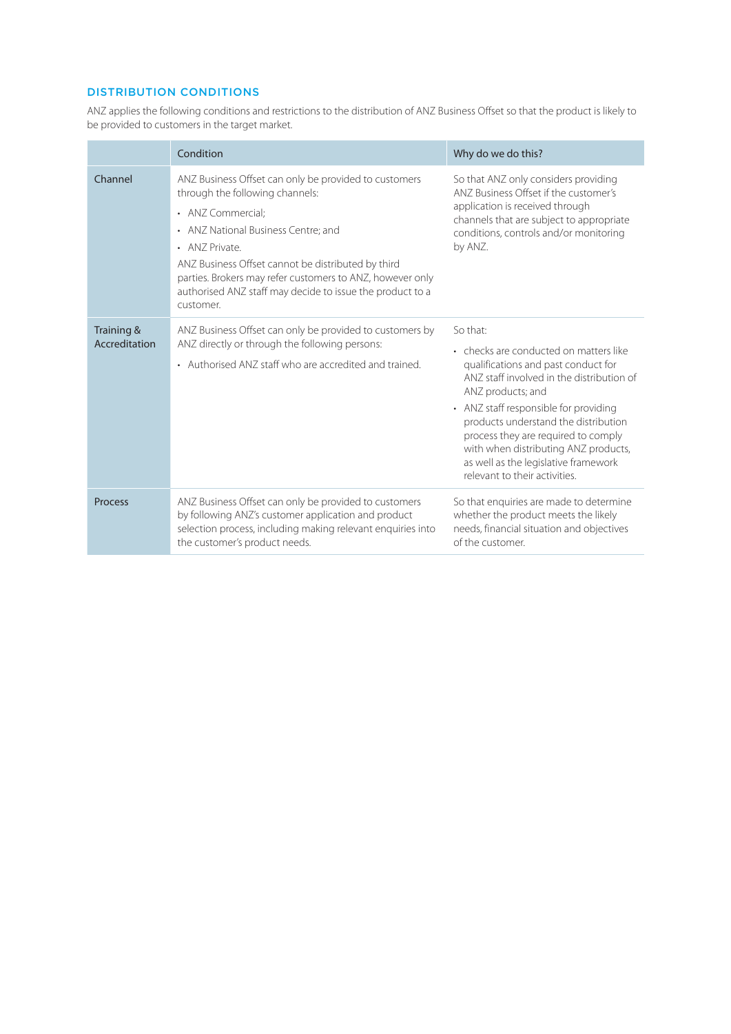# DISTRIBUTION CONDITIONS

ANZ applies the following conditions and restrictions to the distribution of ANZ Business Offset so that the product is likely to be provided to customers in the target market.

|                             | Condition                                                                                                                                                                                                                                                                                                                                                           | Why do we do this?                                                                                                                                                                                                                                                                                                                                                                                   |  |
|-----------------------------|---------------------------------------------------------------------------------------------------------------------------------------------------------------------------------------------------------------------------------------------------------------------------------------------------------------------------------------------------------------------|------------------------------------------------------------------------------------------------------------------------------------------------------------------------------------------------------------------------------------------------------------------------------------------------------------------------------------------------------------------------------------------------------|--|
| Channel                     | ANZ Business Offset can only be provided to customers<br>through the following channels:<br>• ANZ Commercial:<br>• ANZ National Business Centre; and<br>• ANZ Private.<br>ANZ Business Offset cannot be distributed by third<br>parties. Brokers may refer customers to ANZ, however only<br>authorised ANZ staff may decide to issue the product to a<br>customer. | So that ANZ only considers providing<br>ANZ Business Offset if the customer's<br>application is received through<br>channels that are subject to appropriate<br>conditions, controls and/or monitoring<br>by ANZ.                                                                                                                                                                                    |  |
| Training &<br>Accreditation | ANZ Business Offset can only be provided to customers by<br>ANZ directly or through the following persons:<br>• Authorised ANZ staff who are accredited and trained.                                                                                                                                                                                                | So that:<br>• checks are conducted on matters like<br>qualifications and past conduct for<br>ANZ staff involved in the distribution of<br>ANZ products; and<br>• ANZ staff responsible for providing<br>products understand the distribution<br>process they are required to comply<br>with when distributing ANZ products,<br>as well as the legislative framework<br>relevant to their activities. |  |
| <b>Process</b>              | ANZ Business Offset can only be provided to customers<br>by following ANZ's customer application and product<br>selection process, including making relevant enquiries into<br>the customer's product needs.                                                                                                                                                        | So that enquiries are made to determine<br>whether the product meets the likely<br>needs, financial situation and objectives<br>of the customer.                                                                                                                                                                                                                                                     |  |